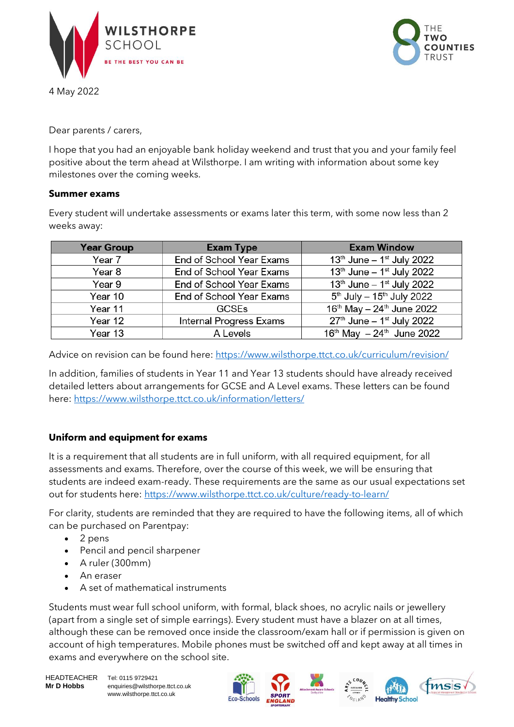

4 May 2022



Dear parents / carers,

I hope that you had an enjoyable bank holiday weekend and trust that you and your family feel positive about the term ahead at Wilsthorpe. I am writing with information about some key milestones over the coming weeks.

## **Summer exams**

Every student will undertake assessments or exams later this term, with some now less than 2 weeks away:

| <b>Year Group</b> | <b>Exam Type</b>         | <b>Exam Window</b>                                |
|-------------------|--------------------------|---------------------------------------------------|
| Year 7            | End of School Year Exams | $13th$ June – $1st$ July 2022                     |
| Year 8            | End of School Year Exams | $13th$ June – $1st$ July 2022                     |
| Year 9            | End of School Year Exams | $13th$ June – $1st$ July 2022                     |
| Year 10           | End of School Year Exams | $5^{th}$ July - 15 <sup>th</sup> July 2022        |
| Year 11           | <b>GCSEs</b>             | 16 <sup>th</sup> May - 24 <sup>th</sup> June 2022 |
| Year 12           | Internal Progress Exams  | $27th$ June – 1 <sup>st</sup> July 2022           |
| Year 13           | A Levels                 | $16^{th}$ May $-24^{th}$ June 2022                |

Advice on revision can be found here:<https://www.wilsthorpe.ttct.co.uk/curriculum/revision/>

In addition, families of students in Year 11 and Year 13 students should have already received detailed letters about arrangements for GCSE and A Level exams. These letters can be found here:<https://www.wilsthorpe.ttct.co.uk/information/letters/>

## **Uniform and equipment for exams**

It is a requirement that all students are in full uniform, with all required equipment, for all assessments and exams. Therefore, over the course of this week, we will be ensuring that students are indeed exam-ready. These requirements are the same as our usual expectations set out for students here:<https://www.wilsthorpe.ttct.co.uk/culture/ready-to-learn/>

For clarity, students are reminded that they are required to have the following items, all of which can be purchased on Parentpay:

- 2 pens
- Pencil and pencil sharpener
- A ruler (300mm)
- An eraser
- A set of mathematical instruments

Students must wear full school uniform, with formal, black shoes, no acrylic nails or jewellery (apart from a single set of simple earrings). Every student must have a blazer on at all times, although these can be removed once inside the classroom/exam hall or if permission is given on account of high temperatures. Mobile phones must be switched off and kept away at all times in exams and everywhere on the school site.

HEADTEACHER Tel: 0115 9729421 **Mr D Hobbs** enquiries@wilsthorpe.ttct.co.uk www.wilsthorpe.ttct.co.uk